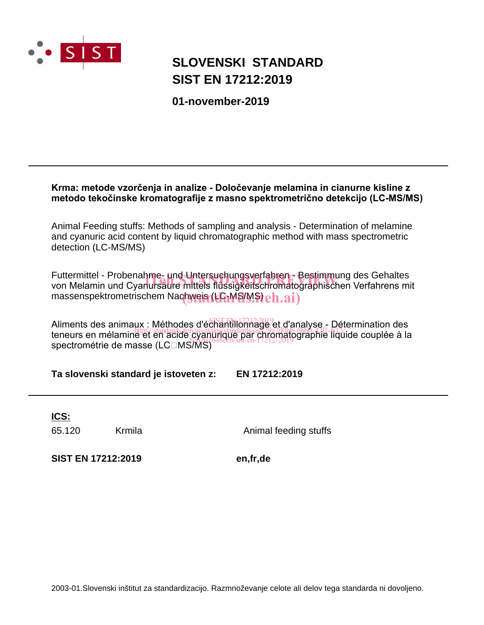

## **SLOVENSKI STANDARD SIST EN 17212:2019**

**01-november-2019**

### **Krma: metode vzorčenja in analize - Določevanje melamina in cianurne kisline z metodo tekočinske kromatografije z masno spektrometrično detekcijo (LC-MS/MS)**

Animal Feeding stuffs: Methods of sampling and analysis - Determination of melamine and cyanuric acid content by liquid chromatographic method with mass spectrometric detection (LC-MS/MS)

Futtermittel - Probenahme- und Untersuchungsverfahren - Bestimmung des Gehaltes Futtermittel - Probenahme- und Untersuchungsverfahren - Bestimmung des Gehaltes<br>von Melamin und Cyanursäure mittels flüssigkeitschromatographischen Verfahrens mit massenspektrometrischem Nachweis (LCaMS/MSteh.ai)

Aliments des animaux : Méthodes d'échantillonnage et d'analyse - Détermination des teneurs en mélamine et en acide cyanurique par chromatographie liquide couplée à la spectrométrie de masse (LC□MS/MS) 8cb202b48eeb/sist-en-17212-2019

**Ta slovenski standard je istoveten z: EN 17212:2019**

**ICS:**

65.120 Krmila Animal feeding stuffs

**SIST EN 17212:2019 en,fr,de**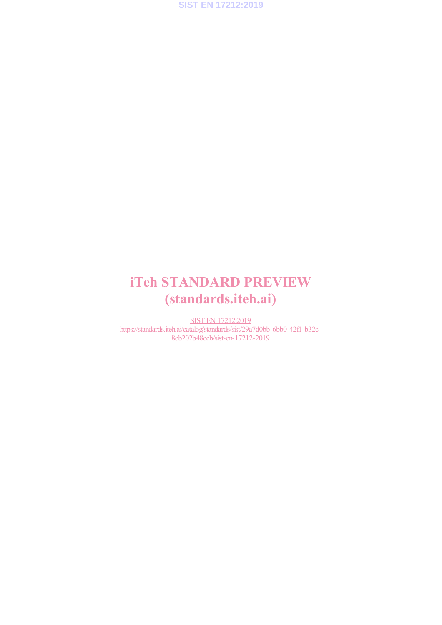

## iTeh STANDARD PREVIEW (standards.iteh.ai)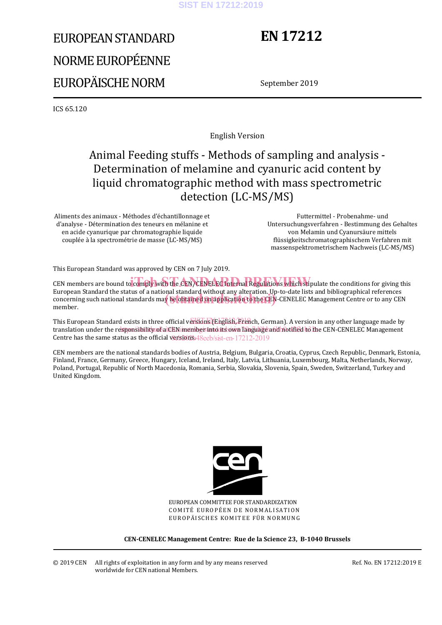#### **SIST EN 17212:2019**

# EUROPEAN STANDARD NORME EUROPÉENNE EUROPÄISCHE NORM

## **EN 17212**

September 2019

ICS 65.120

English Version

## Animal Feeding stuffs - Methods of sampling and analysis - Determination of melamine and cyanuric acid content by liquid chromatographic method with mass spectrometric detection (LC-MS/MS)

Aliments des animaux - Méthodes d'échantillonnage et d'analyse - Détermination des teneurs en mélanine et en acide cyanurique par chromatographie liquide couplée à la spectrométrie de masse (LC-MS/MS)

 Futtermittel - Probenahme- und Untersuchungsverfahren - Bestimmung des Gehaltes von Melamin und Cyanursäure mittels flüssigkeitschromatographischem Verfahren mit massenspektrometrischem Nachweis (LC-MS/MS)

This European Standard was approved by CEN on 7 July 2019.

CEN members are bound to comply with the CEN/CENELEC Internal Regulations which stipulate the conditions for giving this European Standard the status of a national standard without any alteration. Up-to-date lists and bibliographical references European Standard the status of a hational standard without any alteration. Op-to-date lists and bibliographical references<br>concerning such national standards may be obtained on application to the CEN-CENELEC Management Ce member.

This European Standard exists in three official versions (Ehglish, French, German). A version in any other language made by translation under the responsibility of a CEN member into its own language and notified to the CEN-CENELEC Management Centre has the same status as the official versions. 48eeb/sist-en-17212-2019

CEN members are the national standards bodies of Austria, Belgium, Bulgaria, Croatia, Cyprus, Czech Republic, Denmark, Estonia, Finland, France, Germany, Greece, Hungary, Iceland, Ireland, Italy, Latvia, Lithuania, Luxembourg, Malta, Netherlands, Norway, Poland, Portugal, Republic of North Macedonia, Romania, Serbia, Slovakia, Slovenia, Spain, Sweden, Switzerland, Turkey and United Kingdom.



EUROPEAN COMMITTEE FOR STANDARDIZATION COMITÉ EUROPÉEN DE NORMALISATION EUROPÄISCHES KOMITEE FÜR NORMUNG

**CEN-CENELEC Management Centre: Rue de la Science 23, B-1040 Brussels** 

© 2019 CEN All rights of exploitation in any form and by any means reserved worldwide for CEN national Members.

Ref. No. EN 17212:2019 E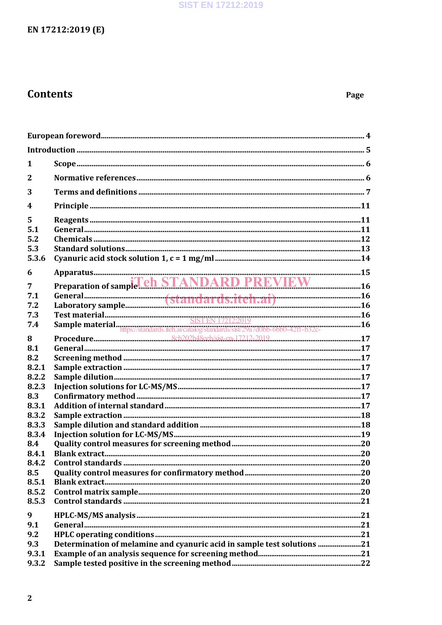### **SIST EN 17212:2019**

## EN 17212:2019 (E)

## **Contents**

## Page

| $\mathbf{1}$     |                                                                         |  |  |
|------------------|-------------------------------------------------------------------------|--|--|
| $\overline{2}$   |                                                                         |  |  |
| 3                |                                                                         |  |  |
| $\boldsymbol{4}$ |                                                                         |  |  |
| 5                |                                                                         |  |  |
| 5.1              |                                                                         |  |  |
| 5.2              |                                                                         |  |  |
| 5.3              |                                                                         |  |  |
| 5.3.6            |                                                                         |  |  |
| 6                |                                                                         |  |  |
| 7                | Preparation of sample eh STANDARD PREVIEW 16                            |  |  |
| 7.1              |                                                                         |  |  |
| 7.2              |                                                                         |  |  |
| 7.3              |                                                                         |  |  |
| 7.4              |                                                                         |  |  |
| 8                |                                                                         |  |  |
| 8.1              |                                                                         |  |  |
| 8.2              |                                                                         |  |  |
| 8.2.1            |                                                                         |  |  |
| 8.2.2            |                                                                         |  |  |
| 8.2.3            |                                                                         |  |  |
| 8.3              |                                                                         |  |  |
| 8.3.1            |                                                                         |  |  |
| 8.3.2            |                                                                         |  |  |
| 8.3.3            |                                                                         |  |  |
| 8.3.4            |                                                                         |  |  |
| 8.4              |                                                                         |  |  |
| 8.4.1            |                                                                         |  |  |
| 8.4.2            |                                                                         |  |  |
| 8.5              |                                                                         |  |  |
| 8.5.1            |                                                                         |  |  |
| 8.5.2            |                                                                         |  |  |
| 8.5.3            |                                                                         |  |  |
| 9                |                                                                         |  |  |
| 9.1              |                                                                         |  |  |
| 9.2              |                                                                         |  |  |
| 9.3              | Determination of melamine and cyanuric acid in sample test solutions 21 |  |  |
| 9.3.1            |                                                                         |  |  |
| 9.3.2            |                                                                         |  |  |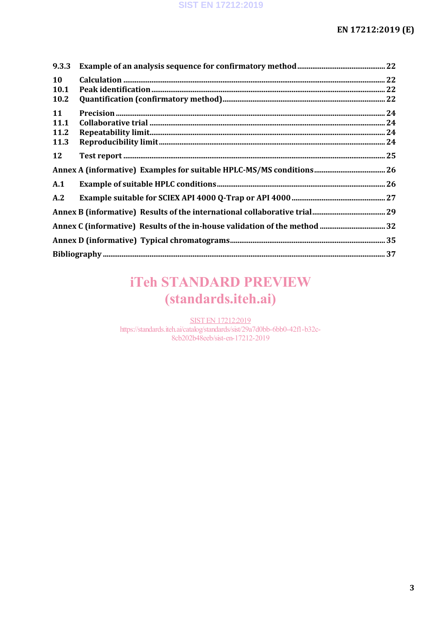| 9.3.3 |  |
|-------|--|
| 10    |  |
| 10.1  |  |
| 10.2  |  |
| 11    |  |
| 11.1  |  |
| 11.2  |  |
| 11.3  |  |
| 12    |  |
|       |  |
| A.1   |  |
| A.2   |  |
|       |  |
|       |  |
|       |  |
|       |  |

## iTeh STANDARD PREVIEW (standards.iteh.ai)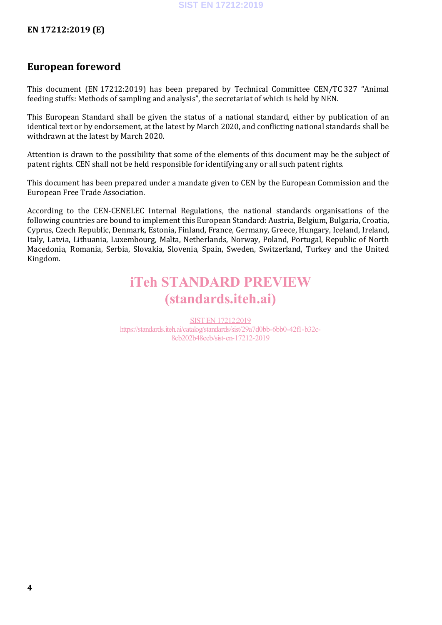#### **EN 17212:2019 (E)**

## **European foreword**

This document (EN 17212:2019) has been prepared by Technical Committee CEN/TC 327 "Animal feeding stuffs: Methods of sampling and analysis", the secretariat of which is held by NEN.

This European Standard shall be given the status of a national standard, either by publication of an identical text or by endorsement, at the latest by March 2020, and conflicting national standards shall be withdrawn at the latest by March 2020.

Attention is drawn to the possibility that some of the elements of this document may be the subject of patent rights. CEN shall not be held responsible for identifying any or all such patent rights.

This document has been prepared under a mandate given to CEN by the European Commission and the European Free Trade Association.

According to the CEN-CENELEC Internal Regulations, the national standards organisations of the following countries are bound to implement this European Standard: Austria, Belgium, Bulgaria, Croatia, Cyprus, Czech Republic, Denmark, Estonia, Finland, France, Germany, Greece, Hungary, Iceland, Ireland, Italy, Latvia, Lithuania, Luxembourg, Malta, Netherlands, Norway, Poland, Portugal, Republic of North Macedonia, Romania, Serbia, Slovakia, Slovenia, Spain, Sweden, Switzerland, Turkey and the United Kingdom.

## iTeh STANDARD PREVIEW (standards.iteh.ai)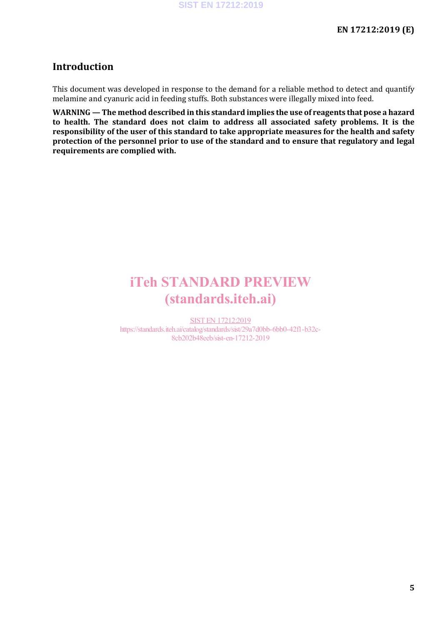### **Introduction**

This document was developed in response to the demand for a reliable method to detect and quantify melamine and cyanuric acid in feeding stuffs. Both substances were illegally mixed into feed.

**WARNING — The method described in this standard implies the use of reagents that pose a hazard to health. The standard does not claim to address all associated safety problems. It is the responsibility of the user of this standard to take appropriate measures for the health and safety protection of the personnel prior to use of the standard and to ensure that regulatory and legal requirements are complied with.**

## iTeh STANDARD PREVIEW (standards.iteh.ai)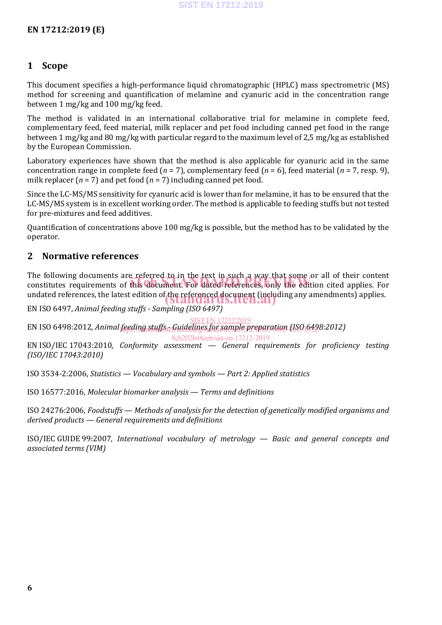### **1 Scope**

This document specifies a high-performance liquid chromatographic (HPLC) mass spectrometric (MS) method for screening and quantification of melamine and cyanuric acid in the concentration range between 1 mg/kg and 100 mg/kg feed.

The method is validated in an international collaborative trial for melamine in complete feed, complementary feed, feed material, milk replacer and pet food including canned pet food in the range between 1 mg/kg and 80 mg/kg with particular regard to the maximum level of 2,5 mg/kg as established by the European Commission.

Laboratory experiences have shown that the method is also applicable for cyanuric acid in the same concentration range in complete feed (*n* = 7), complementary feed (*n* = 6), feed material (*n* = 7, resp. 9), milk replacer ( $n = 7$ ) and pet food ( $n = 7$ ) including canned pet food.

Since the LC-MS/MS sensitivity for cyanuric acid is lower than for melamine, it has to be ensured that the LC-MS/MS system is in excellent working order. The method is applicable to feeding stuffs but not tested for pre-mixtures and feed additives.

Quantification of concentrations above 100 mg/kg is possible, but the method has to be validated by the operator.

### **2 Normative references**

The following documents are referred to in the text in such a way that some or all of their content The following documents are referred to in the text in such a way that some or all of their content<br>constitutes requirements of this document. For dated references, only the edition cited applies. For undated references, the latest edition of the referenced document (including any amendments) applies.<br>EN ISO 6407, 4 is a late of the state of the contract of the contract of the contract of the contract of the contract of

EN ISO 6497, *Animal feeding stuffs - Sampling (ISO 6497)*

EN ISO 6498:2012, Animal <u>feeding stuffs <sub>is</sub> Guidelines for sample preparation (ISO 64</u>28:2012) SIST EN 17212:2019

8cb202b48eeb/sist-en-17212-2019

EN ISO/IEC 17043:2010, *Conformity assessment — General requirements for proficiency testing (ISO/IEC 17043:2010)*

ISO 3534-2:2006, *Statistics — Vocabulary and symbols — Part 2: Applied statistics*

ISO 16577:2016, *Molecular biomarker analysis — Terms and definitions*

ISO 24276:2006, *Foodstuffs — Methods of analysis for the detection of genetically modified organisms and derived products — General requirements and definitions*

ISO/IEC GUIDE 99:2007, *International vocabulary of metrology — Basic and general concepts and associated terms (VIM)*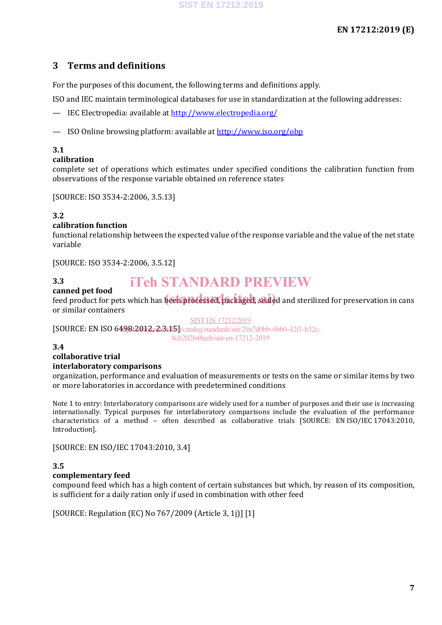### **EN 17212:2019 (E)**

## **3 Terms and definitions**

For the purposes of this document, the following terms and definitions apply.

ISO and IEC maintain terminological databases for use in standardization at the following addresses:

- IEC Electropedia: available at http://www.electropedia.org/
- ISO Online browsing platform: available at http://www.iso.org/obp

#### **3.1**

#### **calibration**

complete set of operations which estimates under specified conditions the calibration function from observations of the response variable obtained on reference states

[SOURCE: ISO 3534-2:2006, 3.5.13]

#### **3.2**

**3.3**

#### **calibration function**

functional relationship between the expected value of the response variable and the value of the net state variable

[SOURCE: ISO 3534-2:2006, 3.5.12]

## iTeh STANDARD PREVIEW

#### **canned pet food**

### canned pet food<br>feed product for pets which has been processed, packaged, sealed and sterilized for preservation in cans or *s*imilar containers

SIST EN 17212:2019

 $[SOURCE: EN ISO 6498:2012a23:15]$ i/catalog/standards/sist/29a7d0bb-6bb0-42f1-b32c-8cb202b48eeb/sist-en-17212-2019

#### **3.4**

## **collaborative trial**

#### **interlaboratory comparisons**

organization, performance and evaluation of measurements or tests on the same or similar items by two or more laboratories in accordance with predetermined conditions

Note 1 to entry: Interlaboratory comparisons are widely used for a number of purposes and their use is increasing internationally. Typical purposes for interlaboratory comparisons include the evaluation of the performance characteristics of a method – often described as collaborative trials [SOURCE: EN ISO/IEC 17043:2010, Introduction].

[SOURCE: EN ISO/IEC 17043:2010, 3.4]

#### **3.5**

#### **complementary feed**

compound feed which has a high content of certain substances but which, by reason of its composition, is sufficient for a daily ration only if used in combination with other feed

[SOURCE: Regulation (EC) No 767/2009 (Article 3, 1j)] [1]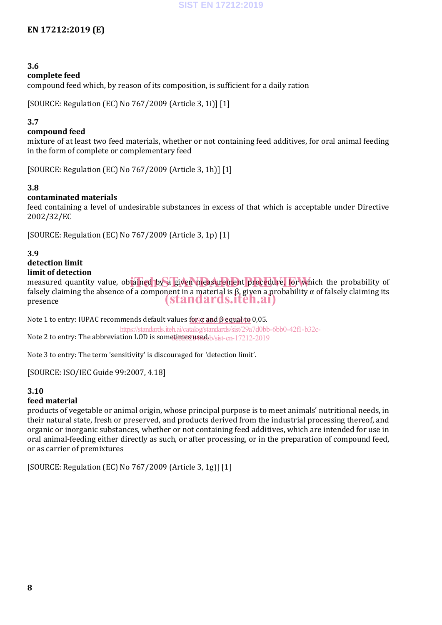### **EN 17212:2019 (E)**

#### **3.6**

#### **complete feed**

compound feed which, by reason of its composition, is sufficient for a daily ration

[SOURCE: Regulation (EC) No 767/2009 (Article 3, 1i)] [1]

#### **3.7**

#### **compound feed**

mixture of at least two feed materials, whether or not containing feed additives, for oral animal feeding in the form of complete or complementary feed

[SOURCE: Regulation (EC) No 767/2009 (Article 3, 1h)] [1]

#### **3.8**

#### **contaminated materials**

feed containing a level of undesirable substances in excess of that which is acceptable under Directive 2002/32/EC

[SOURCE: Regulation (EC) No 767/2009 (Article 3, 1p) [1]

#### **3.9**

#### **detection limit**

#### **limit of detection**

measured quantity value, obtained by a given measurement procedure, for which the probability of falsely claiming the absence of a component in a material is  $\beta$ , given a probability  $\alpha$  of falsely claiming its presence (standards.iteh.ai)

Note 1 to entry: IUPAC recommends default values f<u>orsα and β equal to</u> 0,05.

Note 2 to entry: The abbreviation LOD is sometimes used b/sist-en-17212-2019 https://standards.iteh.ai/catalog/standards/sist/29a7d0bb-6bb0-42f1-b32c-

Note 3 to entry: The term 'sensitivity' is discouraged for 'detection limit'.

[SOURCE: ISO/IEC Guide 99:2007, 4.18]

#### **3.10**

#### **feed material**

products of vegetable or animal origin, whose principal purpose is to meet animals' nutritional needs, in their natural state, fresh or preserved, and products derived from the industrial processing thereof, and organic or inorganic substances, whether or not containing feed additives, which are intended for use in oral animal-feeding either directly as such, or after processing, or in the preparation of compound feed, or as carrier of premixtures

[SOURCE: Regulation (EC) No 767/2009 (Article 3, 1g)] [1]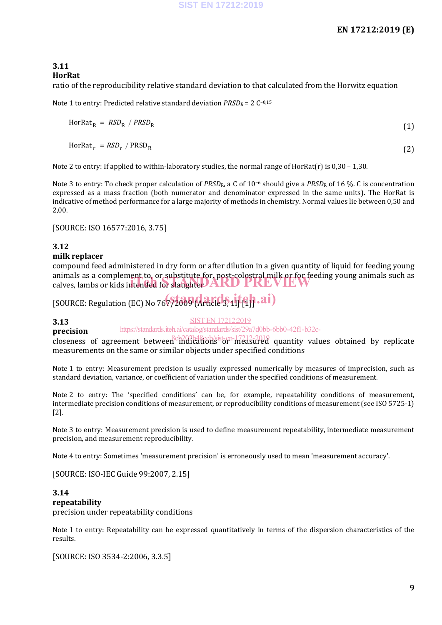## **3.11**

#### **HorRat**

ratio of the reproducibility relative standard deviation to that calculated from the Horwitz equation

Note 1 to entry: Predicted relative standard deviation *PRSD<sub>R</sub>* = 2 C<sup>-0,15</sup>

$$
HorRat_R = RSD_R / PRSD_R
$$
 (1)

 $\text{HorRat}_{\text{r}} = RSD_{\text{r}} / \text{PRSD}_{\text{R}}$  (2)

Note 2 to entry: If applied to within-laboratory studies, the normal range of HorRat(r) is  $0.30 - 1.30$ .

Note 3 to entry: To check proper calculation of *PRSD*<sub>R</sub>, a C of 10<sup>-6</sup> should give a *PRSD*<sub>R</sub> of 16 %. C is concentration expressed as a mass fraction (both numerator and denominator expressed in the same units). The HorRat is indicative of method performance for a large majority of methods in chemistry. Normal values lie between 0,50 and 2,00.

[SOURCE: ISO 16577:2016, 3.75]

#### **3.12 milk replacer**

compound feed administered in dry form or after dilution in a given quantity of liquid for feeding young animals as a complement to, or substitute for, post-colostral milk or for feeding young animals such as animais as a complement to, or substitute for, post-colostral milk or for leed<br>calves, lambs or kids intended for slaughter  $\bf{APD}$  PREVIEW

 $[{\tt SOLRCE: Regulation\ (EC) No 767}2009 (Afile3, 1144).$ ai)

#### **3.13**

SIST EN 17212:2019

**precision** https://standards.iteh.ai/catalog/standards/sist/29a7d0bb-6bb0-42f1-b32c-

closeness of agreement between<sup>ce</sup> meatons or measured quantity values obtained by replicate measurements on the same or similar objects under specified conditions

Note 1 to entry: Measurement precision is usually expressed numerically by measures of imprecision, such as standard deviation, variance, or coefficient of variation under the specified conditions of measurement.

Note 2 to entry: The 'specified conditions' can be, for example, repeatability conditions of measurement, intermediate precision conditions of measurement, or reproducibility conditions of measurement (see ISO 5725-1) [2].

Note 3 to entry: Measurement precision is used to define measurement repeatability, intermediate measurement precision, and measurement reproducibility.

Note 4 to entry: Sometimes 'measurement precision' is erroneously used to mean 'measurement accuracy'.

[SOURCE: ISO-IEC Guide 99:2007, 2.15]

#### **3.14 repeatability**

precision under repeatability conditions

Note 1 to entry: Repeatability can be expressed quantitatively in terms of the dispersion characteristics of the results.

[SOURCE: ISO 3534-2:2006, 3.3.5]